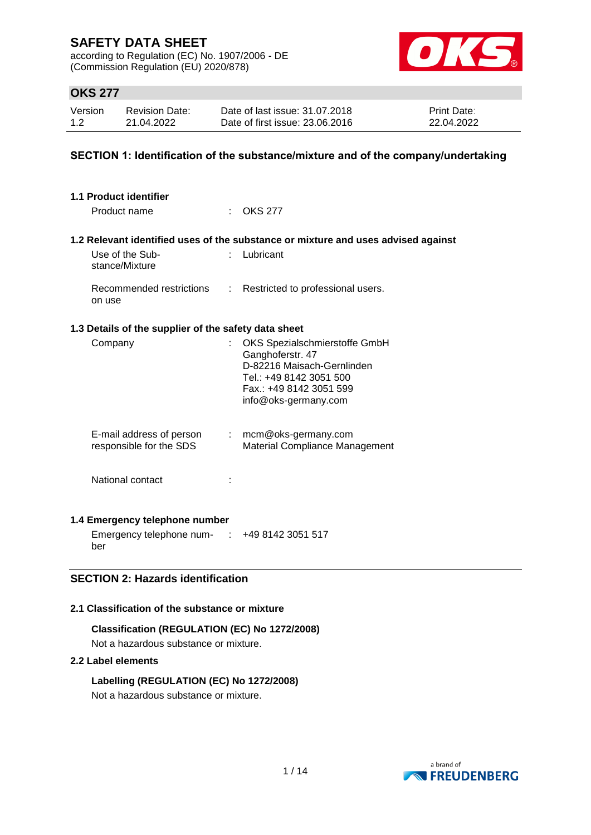according to Regulation (EC) No. 1907/2006 - DE (Commission Regulation (EU) 2020/878)



# **OKS 277**

| Version | <b>Revision Date:</b> | Date of last issue: 31.07.2018  | <b>Print Date:</b> |
|---------|-----------------------|---------------------------------|--------------------|
| 1.2     | 21.04.2022            | Date of first issue: 23,06,2016 | 22.04.2022         |

### **SECTION 1: Identification of the substance/mixture and of the company/undertaking**

| 1.1 Product identifier                               |                               |                                                                                                                                                               |
|------------------------------------------------------|-------------------------------|---------------------------------------------------------------------------------------------------------------------------------------------------------------|
| Product name                                         |                               | $\therefore$ OKS 277                                                                                                                                          |
|                                                      |                               |                                                                                                                                                               |
|                                                      |                               | 1.2 Relevant identified uses of the substance or mixture and uses advised against                                                                             |
| Use of the Sub-<br>stance/Mixture                    | t.                            | Lubricant                                                                                                                                                     |
| Recommended restrictions<br>on use                   | ÷.                            | Restricted to professional users.                                                                                                                             |
| 1.3 Details of the supplier of the safety data sheet |                               |                                                                                                                                                               |
| Company                                              |                               | OKS Spezialschmierstoffe GmbH<br>Ganghoferstr. 47<br>D-82216 Maisach-Gernlinden<br>Tel.: +49 8142 3051 500<br>Fax.: +49 8142 3051 599<br>info@oks-germany.com |
| E-mail address of person<br>responsible for the SDS  |                               | $:$ mcm@oks-germany.com<br>Material Compliance Management                                                                                                     |
| National contact                                     |                               |                                                                                                                                                               |
| 1.4 Emergency telephone number                       |                               |                                                                                                                                                               |
| Emergency telephone num-                             | $\mathcal{F}_{\mathcal{F}}$ . | +49 8142 3051 517                                                                                                                                             |

ber

# **SECTION 2: Hazards identification**

### **2.1 Classification of the substance or mixture**

**Classification (REGULATION (EC) No 1272/2008)** Not a hazardous substance or mixture.

#### **2.2 Label elements**

**Labelling (REGULATION (EC) No 1272/2008)** Not a hazardous substance or mixture.

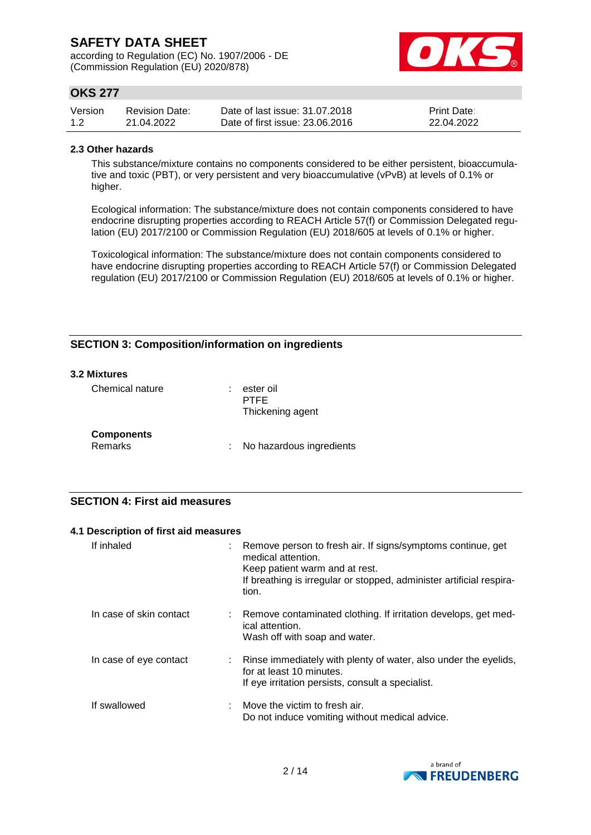according to Regulation (EC) No. 1907/2006 - DE (Commission Regulation (EU) 2020/878)



# **OKS 277**

| Version | Revision Date: | Date of last issue: 31.07.2018  | <b>Print Date:</b> |
|---------|----------------|---------------------------------|--------------------|
| 1.2     | 21.04.2022     | Date of first issue: 23,06,2016 | 22.04.2022         |

### **2.3 Other hazards**

This substance/mixture contains no components considered to be either persistent, bioaccumulative and toxic (PBT), or very persistent and very bioaccumulative (vPvB) at levels of 0.1% or higher.

Ecological information: The substance/mixture does not contain components considered to have endocrine disrupting properties according to REACH Article 57(f) or Commission Delegated regulation (EU) 2017/2100 or Commission Regulation (EU) 2018/605 at levels of 0.1% or higher.

Toxicological information: The substance/mixture does not contain components considered to have endocrine disrupting properties according to REACH Article 57(f) or Commission Delegated regulation (EU) 2017/2100 or Commission Regulation (EU) 2018/605 at levels of 0.1% or higher.

### **SECTION 3: Composition/information on ingredients**

#### **3.2 Mixtures**

| Chemical nature                     | ester oil<br><b>PTFF</b><br>Thickening agent |
|-------------------------------------|----------------------------------------------|
| <b>Components</b><br><b>Remarks</b> | No hazardous ingredients                     |

#### **SECTION 4: First aid measures**

#### **4.1 Description of first aid measures**

| If inhaled              | Remove person to fresh air. If signs/symptoms continue, get<br>medical attention.<br>Keep patient warm and at rest.<br>If breathing is irregular or stopped, administer artificial respira-<br>tion. |
|-------------------------|------------------------------------------------------------------------------------------------------------------------------------------------------------------------------------------------------|
| In case of skin contact | Remove contaminated clothing. If irritation develops, get med-<br>ical attention.<br>Wash off with soap and water.                                                                                   |
| In case of eye contact  | Rinse immediately with plenty of water, also under the eyelids,<br>for at least 10 minutes.<br>If eye irritation persists, consult a specialist.                                                     |
| If swallowed            | $\therefore$ Move the victim to fresh air.<br>Do not induce vomiting without medical advice.                                                                                                         |

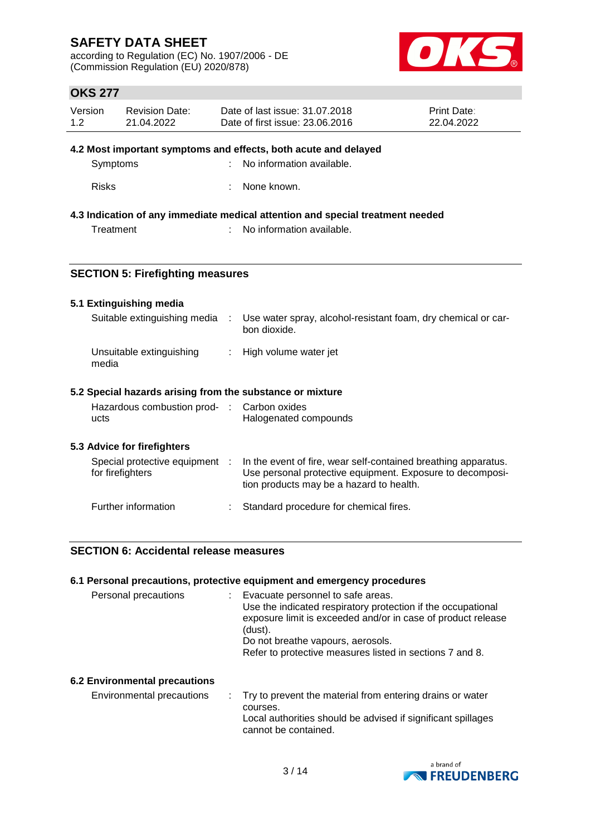according to Regulation (EC) No. 1907/2006 - DE (Commission Regulation (EU) 2020/878)



# **OKS 277**

| Version | <b>Revision Date:</b> | Date of last issue: 31.07.2018  | <b>Print Date:</b> |
|---------|-----------------------|---------------------------------|--------------------|
| 1.2     | 21.04.2022            | Date of first issue: 23,06,2016 | 22.04.2022         |

#### **4.2 Most important symptoms and effects, both acute and delayed**

| Symptoms | : No information available. |
|----------|-----------------------------|
|          |                             |

Risks : None known.

### **4.3 Indication of any immediate medical attention and special treatment needed**

Treatment : No information available.

### **SECTION 5: Firefighting measures**

#### **5.1 Extinguishing media**

| Suitable extinguishing media                          |  | Use water spray, alcohol-resistant foam, dry chemical or car-<br>bon dioxide. |  |  |  |
|-------------------------------------------------------|--|-------------------------------------------------------------------------------|--|--|--|
| Unsuitable extinguishing<br>media                     |  | : High volume water jet                                                       |  |  |  |
| Special hazards arising from the substance or mixture |  |                                                                               |  |  |  |

# 5.2 Sp

| Hazardous combustion prod- | : Carbon oxides       |
|----------------------------|-----------------------|
| ucts                       | Halogenated compounds |

#### **5.3 Advice for firefighters**

| Special protective equipment :<br>for firefighters | In the event of fire, wear self-contained breathing apparatus.<br>Use personal protective equipment. Exposure to decomposi-<br>tion products may be a hazard to health. |
|----------------------------------------------------|-------------------------------------------------------------------------------------------------------------------------------------------------------------------------|
| Further information                                | Standard procedure for chemical fires.                                                                                                                                  |

### **SECTION 6: Accidental release measures**

#### **6.1 Personal precautions, protective equipment and emergency procedures**

| Personal precautions          | Evacuate personnel to safe areas.<br>Use the indicated respiratory protection if the occupational<br>exposure limit is exceeded and/or in case of product release<br>(dust).<br>Do not breathe vapours, aerosols.<br>Refer to protective measures listed in sections 7 and 8. |
|-------------------------------|-------------------------------------------------------------------------------------------------------------------------------------------------------------------------------------------------------------------------------------------------------------------------------|
| 6.2 Environmental precautions |                                                                                                                                                                                                                                                                               |

Environmental precautions : Try to prevent the material from entering drains or water courses. Local authorities should be advised if significant spillages

cannot be contained.

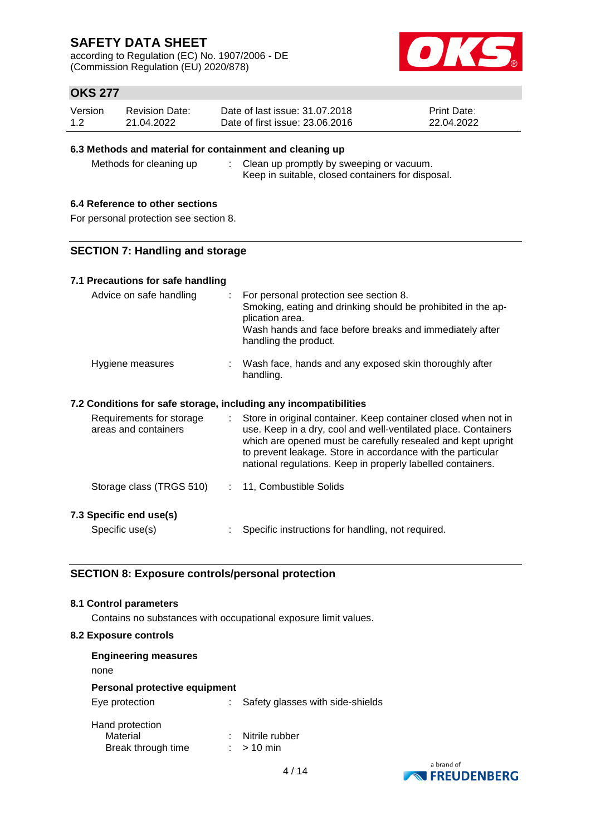according to Regulation (EC) No. 1907/2006 - DE (Commission Regulation (EU) 2020/878)



# **OKS 277**

| Version | <b>Revision Date:</b> | Date of last issue: 31.07.2018  | <b>Print Date:</b> |
|---------|-----------------------|---------------------------------|--------------------|
| 1.2     | 21.04.2022            | Date of first issue: 23,06,2016 | 22.04.2022         |

#### **6.3 Methods and material for containment and cleaning up**

Methods for cleaning up : Clean up promptly by sweeping or vacuum. Keep in suitable, closed containers for disposal.

### **6.4 Reference to other sections**

For personal protection see section 8.

#### **SECTION 7: Handling and storage**

#### **7.1 Precautions for safe handling**

| Advice on safe handling                                          |    | For personal protection see section 8.<br>Smoking, eating and drinking should be prohibited in the ap-<br>plication area.<br>Wash hands and face before breaks and immediately after<br>handling the product.                                                                                                                  |
|------------------------------------------------------------------|----|--------------------------------------------------------------------------------------------------------------------------------------------------------------------------------------------------------------------------------------------------------------------------------------------------------------------------------|
| Hygiene measures                                                 |    | : Wash face, hands and any exposed skin thoroughly after<br>handling.                                                                                                                                                                                                                                                          |
| 7.2 Conditions for safe storage, including any incompatibilities |    |                                                                                                                                                                                                                                                                                                                                |
| Requirements for storage<br>areas and containers                 | ÷. | Store in original container. Keep container closed when not in<br>use. Keep in a dry, cool and well-ventilated place. Containers<br>which are opened must be carefully resealed and kept upright<br>to prevent leakage. Store in accordance with the particular<br>national regulations. Keep in properly labelled containers. |
| Storage class (TRGS 510)                                         |    | 11, Combustible Solids                                                                                                                                                                                                                                                                                                         |

#### **7.3 Specific end use(s)**

Specific use(s) : Specific instructions for handling, not required.

#### **SECTION 8: Exposure controls/personal protection**

#### **8.1 Control parameters**

Contains no substances with occupational exposure limit values.

#### **8.2 Exposure controls**

| <b>Engineering measures</b>   |  |                                  |  |  |  |
|-------------------------------|--|----------------------------------|--|--|--|
| none                          |  |                                  |  |  |  |
| Personal protective equipment |  |                                  |  |  |  |
| Eye protection                |  | Safety glasses with side-shields |  |  |  |
| Hand protection               |  |                                  |  |  |  |
| Material                      |  | Nitrile rubber                   |  |  |  |
| Break through time            |  | $>10$ min                        |  |  |  |



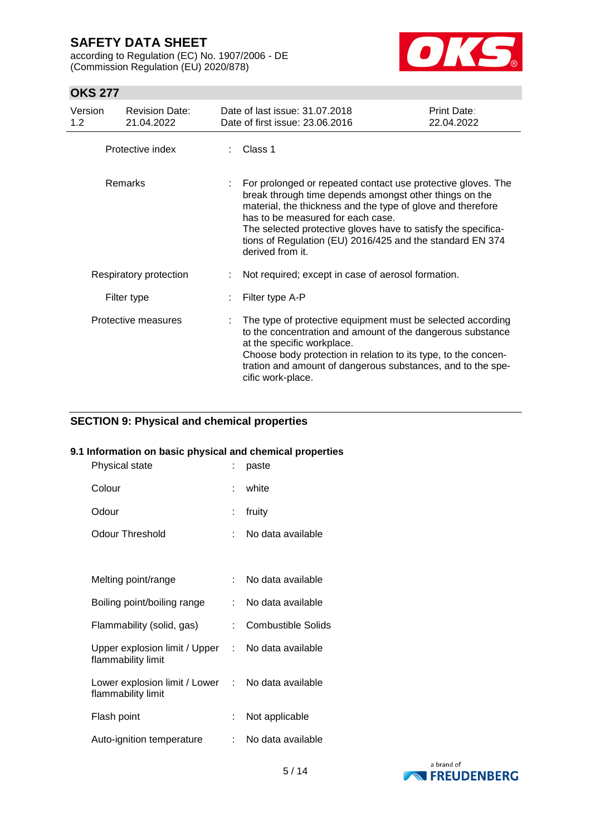according to Regulation (EC) No. 1907/2006 - DE (Commission Regulation (EU) 2020/878)



## **OKS 277**

| Version<br>1.2   | <b>Revision Date:</b><br>21.04.2022 |  | Date of last issue: 31.07.2018<br>Date of first issue: 23,06,2016                                                                                                                                                                                                                                                                                                            | Print Date:<br>22.04.2022 |  |
|------------------|-------------------------------------|--|------------------------------------------------------------------------------------------------------------------------------------------------------------------------------------------------------------------------------------------------------------------------------------------------------------------------------------------------------------------------------|---------------------------|--|
| Protective index |                                     |  | Class 1                                                                                                                                                                                                                                                                                                                                                                      |                           |  |
|                  | Remarks                             |  | For prolonged or repeated contact use protective gloves. The<br>break through time depends amongst other things on the<br>material, the thickness and the type of glove and therefore<br>has to be measured for each case.<br>The selected protective gloves have to satisfy the specifica-<br>tions of Regulation (EU) 2016/425 and the standard EN 374<br>derived from it. |                           |  |
|                  | Respiratory protection              |  | Not required; except in case of aerosol formation.                                                                                                                                                                                                                                                                                                                           |                           |  |
|                  | Filter type                         |  | Filter type A-P                                                                                                                                                                                                                                                                                                                                                              |                           |  |
|                  | Protective measures                 |  | The type of protective equipment must be selected according<br>to the concentration and amount of the dangerous substance<br>at the specific workplace.<br>Choose body protection in relation to its type, to the concen-<br>tration and amount of dangerous substances, and to the spe-<br>cific work-place.                                                                |                           |  |

# **SECTION 9: Physical and chemical properties**

### **9.1 Information on basic physical and chemical properties**

| Physical state                                                          |    | paste                     |
|-------------------------------------------------------------------------|----|---------------------------|
| Colour                                                                  |    | white                     |
| Odour                                                                   | t. | fruity                    |
| Odour Threshold                                                         |    | No data available         |
|                                                                         |    |                           |
| Melting point/range                                                     | t. | No data available         |
| Boiling point/boiling range                                             | t. | No data available         |
| Flammability (solid, gas)                                               | t. | <b>Combustible Solids</b> |
| Upper explosion limit / Upper :<br>flammability limit                   |    | No data available         |
| Lower explosion limit / Lower : No data available<br>flammability limit |    |                           |
| Flash point                                                             | ÷  | Not applicable            |
| Auto-ignition temperature                                               | t. | No data available         |

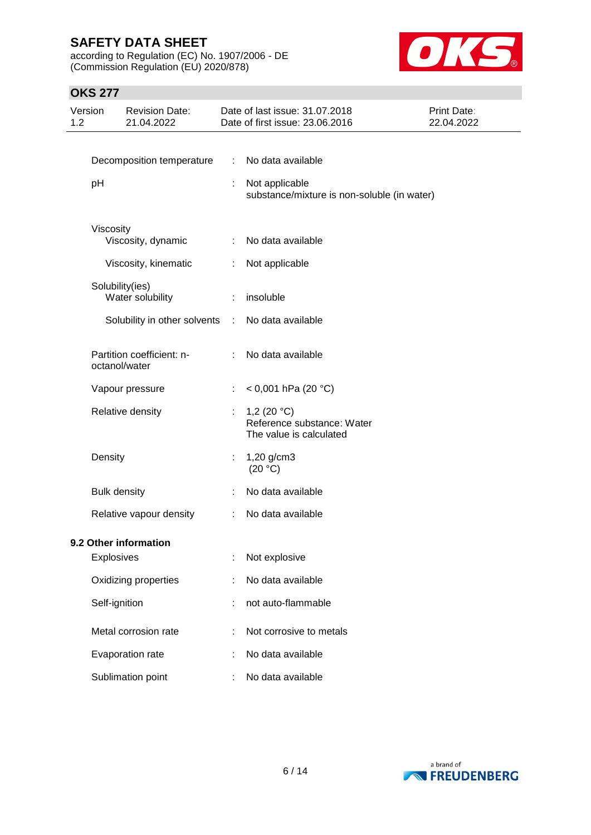according to Regulation (EC) No. 1907/2006 - DE (Commission Regulation (EU) 2020/878)



# **OKS 277**

| Version<br>1.2 | <b>Revision Date:</b><br>21.04.2022        |                       | Date of last issue: 31.07.2018<br>Date of first issue: 23.06.2016      | Print Date:<br>22.04.2022 |
|----------------|--------------------------------------------|-----------------------|------------------------------------------------------------------------|---------------------------|
|                |                                            |                       |                                                                        |                           |
|                | Decomposition temperature                  | $\mathbb{R}^n$        | No data available                                                      |                           |
| pH             |                                            |                       | Not applicable<br>substance/mixture is non-soluble (in water)          |                           |
|                | Viscosity                                  |                       |                                                                        |                           |
|                | Viscosity, dynamic                         | ÷                     | No data available                                                      |                           |
|                | Viscosity, kinematic                       | ÷                     | Not applicable                                                         |                           |
|                | Solubility(ies)<br>Water solubility        | ÷                     | insoluble                                                              |                           |
|                | Solubility in other solvents               | $\mathbb{C}^{\times}$ | No data available                                                      |                           |
|                | Partition coefficient: n-<br>octanol/water | ÷.                    | No data available                                                      |                           |
|                | Vapour pressure                            | ÷.                    | < 0,001 hPa (20 °C)                                                    |                           |
|                | Relative density                           |                       | 1,2 $(20 °C)$<br>Reference substance: Water<br>The value is calculated |                           |
|                | Density                                    | t,                    | 1,20 g/cm3<br>(20 °C)                                                  |                           |
|                | <b>Bulk density</b>                        |                       | No data available                                                      |                           |
|                | Relative vapour density                    | ÷                     | No data available                                                      |                           |
|                | 9.2 Other information                      |                       |                                                                        |                           |
|                | <b>Explosives</b>                          |                       | Not explosive                                                          |                           |
|                | Oxidizing properties                       |                       | No data available                                                      |                           |
|                | Self-ignition                              |                       | not auto-flammable                                                     |                           |
|                | Metal corrosion rate                       |                       | Not corrosive to metals                                                |                           |
|                | Evaporation rate                           |                       | No data available                                                      |                           |
|                | Sublimation point                          |                       | No data available                                                      |                           |

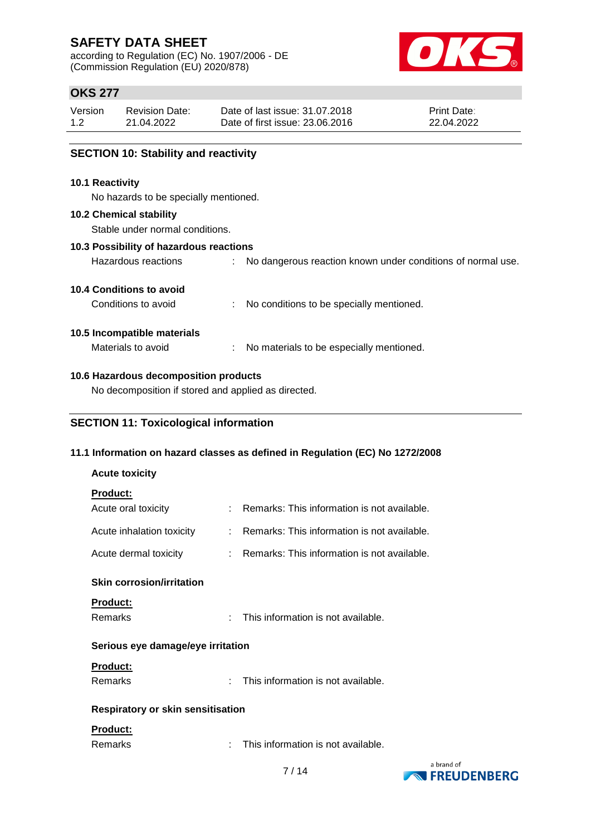according to Regulation (EC) No. 1907/2006 - DE (Commission Regulation (EU) 2020/878)



## **OKS 277**

| Version | <b>Revision Date:</b> | Date of last issue: 31.07.2018  | <b>Print Date:</b> |
|---------|-----------------------|---------------------------------|--------------------|
| 1.2     | 21.04.2022            | Date of first issue: 23,06,2016 | 22.04.2022         |
|         |                       |                                 |                    |

Hazardous reactions : No dangerous reaction known under conditions of normal use.

### **SECTION 10: Stability and reactivity**

#### **10.1 Reactivity**

No hazards to be specially mentioned.

#### **10.2 Chemical stability**

Stable under normal conditions.

#### **10.3 Possibility of hazardous reactions**

|  | 10.4 Conditions to avoid |  |  |
|--|--------------------------|--|--|

| Conditions to avoid | No conditions to be specially mentioned. |
|---------------------|------------------------------------------|
|                     |                                          |

#### **10.5 Incompatible materials**

Materials to avoid : No materials to be especially mentioned.

#### **10.6 Hazardous decomposition products**

No decomposition if stored and applied as directed.

### **SECTION 11: Toxicological information**

#### **11.1 Information on hazard classes as defined in Regulation (EC) No 1272/2008**

| <b>Acute toxicity</b>                    |    |                                               |  |  |
|------------------------------------------|----|-----------------------------------------------|--|--|
| <b>Product:</b><br>Acute oral toxicity   |    | : Remarks: This information is not available. |  |  |
| Acute inhalation toxicity                | ÷  | Remarks: This information is not available.   |  |  |
| Acute dermal toxicity                    | ÷. | Remarks: This information is not available.   |  |  |
| <b>Skin corrosion/irritation</b>         |    |                                               |  |  |
| <u>Product:</u>                          |    |                                               |  |  |
| Remarks                                  |    | This information is not available.            |  |  |
| Serious eye damage/eye irritation        |    |                                               |  |  |
| <b>Product:</b><br><b>Remarks</b>        |    | This information is not available.            |  |  |
| <b>Respiratory or skin sensitisation</b> |    |                                               |  |  |
| <b>Product:</b><br><b>Remarks</b>        |    | This information is not available.            |  |  |

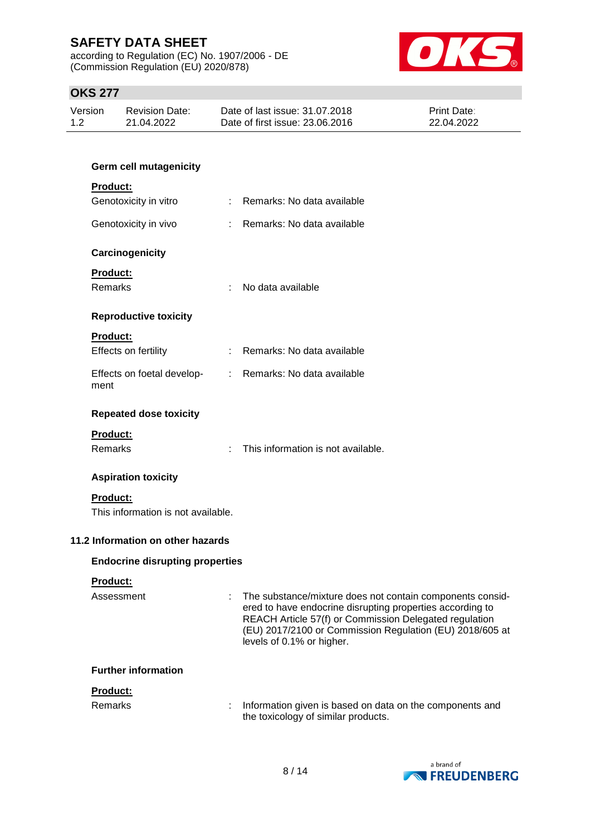according to Regulation (EC) No. 1907/2006 - DE (Commission Regulation (EU) 2020/878)



## **OKS 277**

| Version | Revision Date: | Date of last issue: 31.07.2018  | <b>Print Date:</b> |
|---------|----------------|---------------------------------|--------------------|
| 1.2     | 21.04.2022     | Date of first issue: 23,06,2016 | 22.04.2022         |

| <b>Germ cell mutagenicity</b>                                   |                                                                                                                                                                                                                                                                           |
|-----------------------------------------------------------------|---------------------------------------------------------------------------------------------------------------------------------------------------------------------------------------------------------------------------------------------------------------------------|
| Product:                                                        |                                                                                                                                                                                                                                                                           |
| Genotoxicity in vitro                                           | : Remarks: No data available                                                                                                                                                                                                                                              |
| Genotoxicity in vivo                                            | : Remarks: No data available                                                                                                                                                                                                                                              |
| Carcinogenicity                                                 |                                                                                                                                                                                                                                                                           |
| <b>Product:</b>                                                 |                                                                                                                                                                                                                                                                           |
| Remarks                                                         | No data available                                                                                                                                                                                                                                                         |
| <b>Reproductive toxicity</b>                                    |                                                                                                                                                                                                                                                                           |
| <b>Product:</b>                                                 |                                                                                                                                                                                                                                                                           |
| Effects on fertility                                            | : Remarks: No data available                                                                                                                                                                                                                                              |
| Effects on foetal develop- : Remarks: No data available<br>ment |                                                                                                                                                                                                                                                                           |
| <b>Repeated dose toxicity</b>                                   |                                                                                                                                                                                                                                                                           |
| Product:                                                        |                                                                                                                                                                                                                                                                           |
| Remarks                                                         | This information is not available.                                                                                                                                                                                                                                        |
| <b>Aspiration toxicity</b>                                      |                                                                                                                                                                                                                                                                           |
| <b>Product:</b><br>This information is not available.           |                                                                                                                                                                                                                                                                           |
| 11.2 Information on other hazards                               |                                                                                                                                                                                                                                                                           |
| <b>Endocrine disrupting properties</b>                          |                                                                                                                                                                                                                                                                           |
| Product:                                                        |                                                                                                                                                                                                                                                                           |
| Assessment                                                      | The substance/mixture does not contain components consid-<br>ered to have endocrine disrupting properties according to<br>REACH Article 57(f) or Commission Delegated regulation<br>(EU) 2017/2100 or Commission Regulation (EU) 2018/605 at<br>levels of 0.1% or higher. |
| <b>Further information</b>                                      |                                                                                                                                                                                                                                                                           |
| Product:                                                        |                                                                                                                                                                                                                                                                           |
| Remarks                                                         | Information given is based on data on the components and<br>the toxicology of similar products.                                                                                                                                                                           |

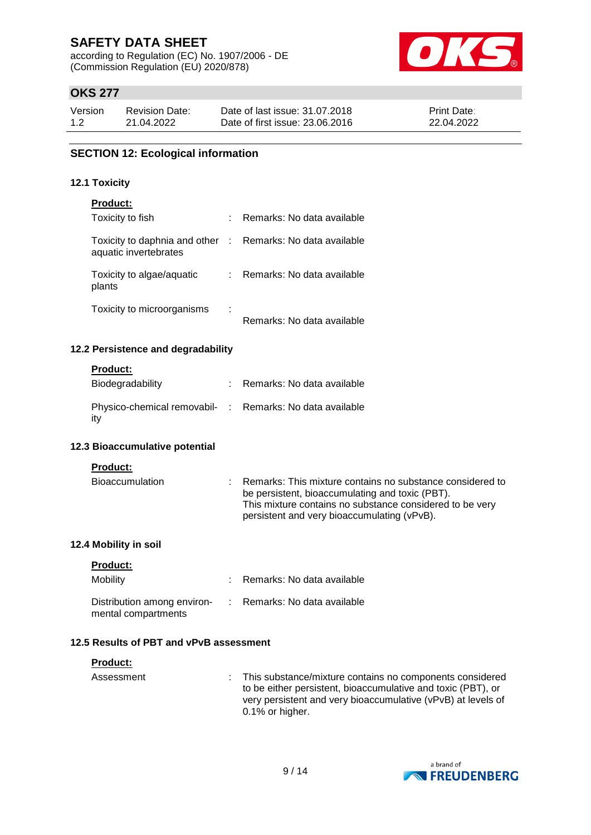according to Regulation (EC) No. 1907/2006 - DE (Commission Regulation (EU) 2020/878)



# **OKS 277**

| Version | <b>Revision Date:</b> | Date of last issue: 31.07.2018  | <b>Print Date:</b> |
|---------|-----------------------|---------------------------------|--------------------|
| 1.2     | 21.04.2022            | Date of first issue: 23,06,2016 | 22.04.2022         |

### **SECTION 12: Ecological information**

#### **12.1 Toxicity**

| <b>Product:</b>                                                                     |                              |
|-------------------------------------------------------------------------------------|------------------------------|
| Toxicity to fish                                                                    | Remarks: No data available   |
| Toxicity to daphnia and other : Remarks: No data available<br>aquatic invertebrates |                              |
| Toxicity to algae/aquatic<br>plants                                                 | : Remarks: No data available |
| Toxicity to microorganisms                                                          | Remarks: No data available   |
| 12.2 Persistence and degradability                                                  |                              |
| <b>Product:</b>                                                                     |                              |
| <b>Biodegradability</b>                                                             | Remarks: No data available   |
| Physico-chemical removabil- : Remarks: No data available<br>ity                     |                              |

### **12.3 Bioaccumulative potential**

#### **Product:**

| Bioaccumulation | : Remarks: This mixture contains no substance considered to |
|-----------------|-------------------------------------------------------------|
|                 | be persistent, bioaccumulating and toxic (PBT).             |
|                 | This mixture contains no substance considered to be very    |
|                 | persistent and very bioaccumulating (vPvB).                 |

#### **12.4 Mobility in soil**

**Product:**

| <b>Mobility</b>                                    | Remarks: No data available |
|----------------------------------------------------|----------------------------|
| Distribution among environ-<br>mental compartments | Remarks: No data available |

## **12.5 Results of PBT and vPvB assessment**

| <b>Product:</b> |                                                                                                                                                                                                                  |
|-----------------|------------------------------------------------------------------------------------------------------------------------------------------------------------------------------------------------------------------|
| Assessment      | : This substance/mixture contains no components considered<br>to be either persistent, bioaccumulative and toxic (PBT), or<br>very persistent and very bioaccumulative (vPvB) at levels of<br>$0.1\%$ or higher. |

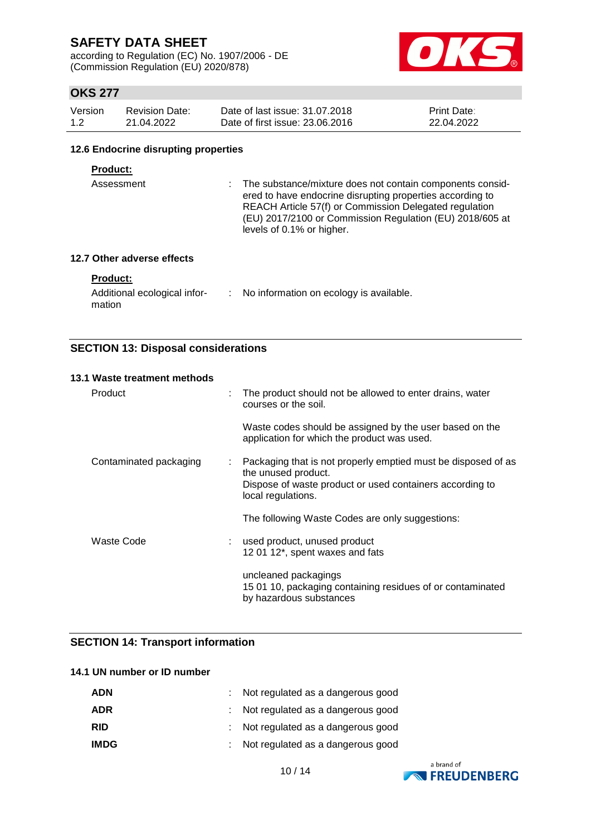according to Regulation (EC) No. 1907/2006 - DE (Commission Regulation (EU) 2020/878)



# **OKS 277**

| Version | <b>Revision Date:</b> | Date of last issue: 31.07.2018  | <b>Print Date:</b> |
|---------|-----------------------|---------------------------------|--------------------|
| 1.2     | 21.04.2022            | Date of first issue: 23,06,2016 | 22.04.2022         |

#### **12.6 Endocrine disrupting properties**

#### **Product:**

Assessment : The substance/mixture does not contain components considered to have endocrine disrupting properties according to REACH Article 57(f) or Commission Delegated regulation (EU) 2017/2100 or Commission Regulation (EU) 2018/605 at levels of 0.1% or higher.

#### **12.7 Other adverse effects**

#### **Product:**

| Additional ecological infor- | No information on ecology is available. |
|------------------------------|-----------------------------------------|
| mation                       |                                         |

### **SECTION 13: Disposal considerations**

| 13.1 Waste treatment methods |   |                                                                                                                                                                        |
|------------------------------|---|------------------------------------------------------------------------------------------------------------------------------------------------------------------------|
| Product                      | ÷ | The product should not be allowed to enter drains, water<br>courses or the soil.                                                                                       |
|                              |   | Waste codes should be assigned by the user based on the<br>application for which the product was used.                                                                 |
| Contaminated packaging       | ÷ | Packaging that is not properly emptied must be disposed of as<br>the unused product.<br>Dispose of waste product or used containers according to<br>local regulations. |
|                              |   | The following Waste Codes are only suggestions:                                                                                                                        |
| Waste Code                   |   | used product, unused product<br>12 01 12*, spent waxes and fats                                                                                                        |
|                              |   | uncleaned packagings<br>15 01 10, packaging containing residues of or contaminated<br>by hazardous substances                                                          |

### **SECTION 14: Transport information**

### **14.1 UN number or ID number**

| <b>ADN</b>  | : Not regulated as a dangerous good |
|-------------|-------------------------------------|
| ADR         | : Not regulated as a dangerous good |
| <b>RID</b>  | : Not regulated as a dangerous good |
| <b>IMDG</b> | : Not regulated as a dangerous good |

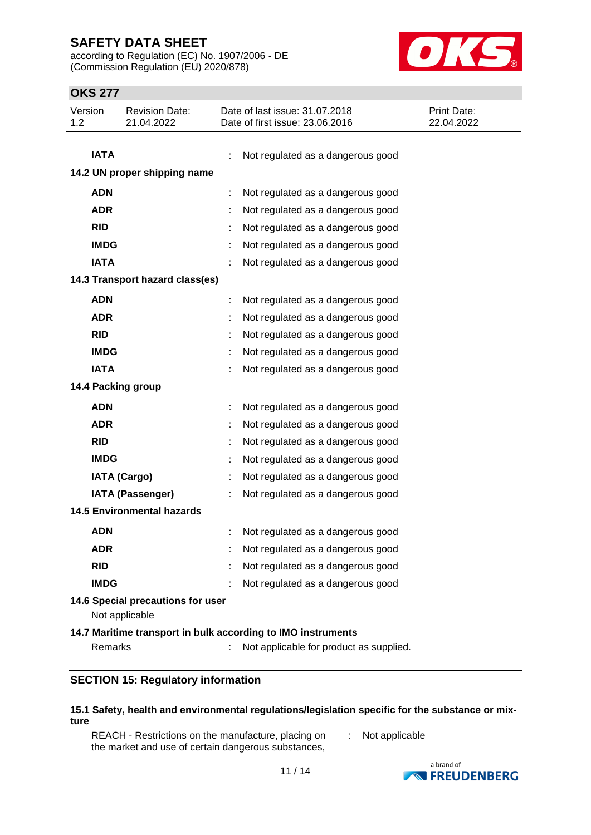according to Regulation (EC) No. 1907/2006 - DE (Commission Regulation (EU) 2020/878)



## **OKS 277**

| Version<br>1.2 |             | <b>Revision Date:</b><br>21.04.2022                 |   | Date of last issue: 31.07.2018<br>Date of first issue: 23.06.2016 | <b>Print Date:</b><br>22.04.2022 |
|----------------|-------------|-----------------------------------------------------|---|-------------------------------------------------------------------|----------------------------------|
|                |             |                                                     |   |                                                                   |                                  |
|                | <b>IATA</b> |                                                     |   | Not regulated as a dangerous good                                 |                                  |
|                |             | 14.2 UN proper shipping name                        |   |                                                                   |                                  |
|                | <b>ADN</b>  |                                                     |   | Not regulated as a dangerous good                                 |                                  |
|                | <b>ADR</b>  |                                                     |   | Not regulated as a dangerous good                                 |                                  |
|                | <b>RID</b>  |                                                     |   | Not regulated as a dangerous good                                 |                                  |
|                | <b>IMDG</b> |                                                     |   | Not regulated as a dangerous good                                 |                                  |
|                | <b>IATA</b> |                                                     |   | Not regulated as a dangerous good                                 |                                  |
|                |             | 14.3 Transport hazard class(es)                     |   |                                                                   |                                  |
|                | <b>ADN</b>  |                                                     |   | Not regulated as a dangerous good                                 |                                  |
|                | <b>ADR</b>  |                                                     |   | Not regulated as a dangerous good                                 |                                  |
|                | <b>RID</b>  |                                                     |   | Not regulated as a dangerous good                                 |                                  |
|                | <b>IMDG</b> |                                                     |   | Not regulated as a dangerous good                                 |                                  |
|                | <b>IATA</b> |                                                     |   | Not regulated as a dangerous good                                 |                                  |
|                |             | 14.4 Packing group                                  |   |                                                                   |                                  |
|                | <b>ADN</b>  |                                                     |   | Not regulated as a dangerous good                                 |                                  |
|                | <b>ADR</b>  |                                                     |   | Not regulated as a dangerous good                                 |                                  |
|                | <b>RID</b>  |                                                     |   | Not regulated as a dangerous good                                 |                                  |
|                | <b>IMDG</b> |                                                     |   | Not regulated as a dangerous good                                 |                                  |
|                |             | <b>IATA (Cargo)</b>                                 |   | Not regulated as a dangerous good                                 |                                  |
|                |             | IATA (Passenger)                                    | ÷ | Not regulated as a dangerous good                                 |                                  |
|                |             | <b>14.5 Environmental hazards</b>                   |   |                                                                   |                                  |
|                | <b>ADN</b>  |                                                     |   | Not regulated as a dangerous good                                 |                                  |
|                | ADR         |                                                     |   | Not regulated as a dangerous good                                 |                                  |
|                | <b>RID</b>  |                                                     |   | Not regulated as a dangerous good                                 |                                  |
|                | <b>IMDG</b> |                                                     |   | Not regulated as a dangerous good                                 |                                  |
|                |             | 14.6 Special precautions for user<br>Not applicable |   |                                                                   |                                  |
|                |             |                                                     |   | 14.7 Maritime transport in bulk according to IMO instruments      |                                  |
|                | Remarks     |                                                     |   | Not applicable for product as supplied.                           |                                  |

### **SECTION 15: Regulatory information**

#### **15.1 Safety, health and environmental regulations/legislation specific for the substance or mixture**

REACH - Restrictions on the manufacture, placing on the market and use of certain dangerous substances,

: Not applicable

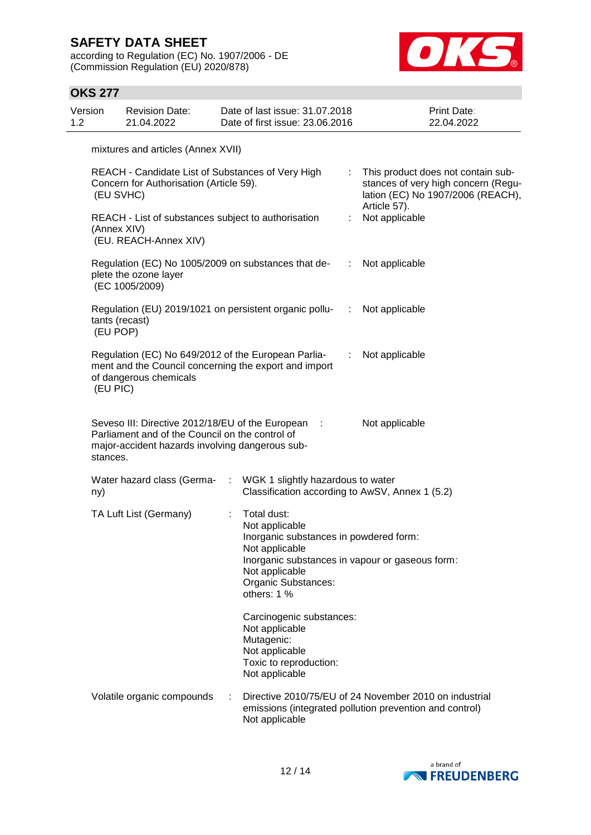according to Regulation (EC) No. 1907/2006 - DE (Commission Regulation (EU) 2020/878)



## **OKS 277**

| Version<br>1.2 |                                                                                             | <b>Revision Date:</b><br>21.04.2022                                                                                                                      |   | Date of last issue: 31.07.2018<br>Date of first issue: 23.06.2016                                                                                                                                    |                                | Print Date:<br>22.04.2022                                                                                      |
|----------------|---------------------------------------------------------------------------------------------|----------------------------------------------------------------------------------------------------------------------------------------------------------|---|------------------------------------------------------------------------------------------------------------------------------------------------------------------------------------------------------|--------------------------------|----------------------------------------------------------------------------------------------------------------|
|                |                                                                                             | mixtures and articles (Annex XVII)                                                                                                                       |   |                                                                                                                                                                                                      |                                |                                                                                                                |
|                | (EU SVHC)                                                                                   | REACH - Candidate List of Substances of Very High<br>Concern for Authorisation (Article 59).                                                             |   | ÷                                                                                                                                                                                                    |                                | This product does not contain sub-<br>stances of very high concern (Regu-<br>lation (EC) No 1907/2006 (REACH), |
|                | REACH - List of substances subject to authorisation<br>(Annex XIV)<br>(EU. REACH-Annex XIV) |                                                                                                                                                          |   | ÷                                                                                                                                                                                                    | Article 57).<br>Not applicable |                                                                                                                |
|                |                                                                                             | Regulation (EC) No 1005/2009 on substances that de-<br>plete the ozone layer<br>(EC 1005/2009)                                                           |   | ÷.                                                                                                                                                                                                   | Not applicable                 |                                                                                                                |
|                | (EU POP)                                                                                    | tants (recast)                                                                                                                                           |   | Regulation (EU) 2019/1021 on persistent organic pollu-<br>$\sim 100$                                                                                                                                 | Not applicable                 |                                                                                                                |
|                | (EU PIC)                                                                                    | Regulation (EC) No 649/2012 of the European Parlia-<br>of dangerous chemicals                                                                            |   | ment and the Council concerning the export and import                                                                                                                                                | Not applicable                 |                                                                                                                |
|                | stances.                                                                                    | Seveso III: Directive 2012/18/EU of the European :<br>Parliament and of the Council on the control of<br>major-accident hazards involving dangerous sub- |   |                                                                                                                                                                                                      | Not applicable                 |                                                                                                                |
|                | ny)                                                                                         | Water hazard class (Germa-                                                                                                                               | ÷ | WGK 1 slightly hazardous to water<br>Classification according to AwSV, Annex 1 (5.2)                                                                                                                 |                                |                                                                                                                |
|                |                                                                                             | TA Luft List (Germany)                                                                                                                                   |   | Total dust:<br>Not applicable<br>Inorganic substances in powdered form:<br>Not applicable<br>Inorganic substances in vapour or gaseous form:<br>Not applicable<br>Organic Substances:<br>others: 1 % |                                |                                                                                                                |
|                |                                                                                             |                                                                                                                                                          |   | Carcinogenic substances:<br>Not applicable<br>Mutagenic:<br>Not applicable<br>Toxic to reproduction:<br>Not applicable                                                                               |                                |                                                                                                                |
|                |                                                                                             | Volatile organic compounds                                                                                                                               |   | Directive 2010/75/EU of 24 November 2010 on industrial<br>emissions (integrated pollution prevention and control)<br>Not applicable                                                                  |                                |                                                                                                                |

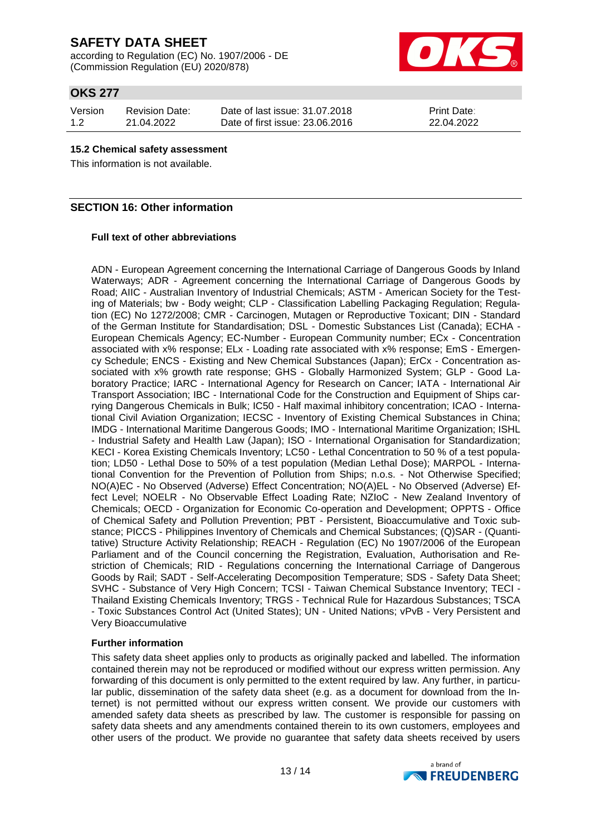according to Regulation (EC) No. 1907/2006 - DE (Commission Regulation (EU) 2020/878)



# **OKS 277**

| Version | <b>Revision Date:</b> |
|---------|-----------------------|
| 12      | 21.04.2022            |

Date of last issue: 31.07.2018 Date of first issue: 23.06.2016

Print Date: 22.04.2022

#### **15.2 Chemical safety assessment**

This information is not available.

### **SECTION 16: Other information**

#### **Full text of other abbreviations**

ADN - European Agreement concerning the International Carriage of Dangerous Goods by Inland Waterways; ADR - Agreement concerning the International Carriage of Dangerous Goods by Road; AIIC - Australian Inventory of Industrial Chemicals; ASTM - American Society for the Testing of Materials; bw - Body weight; CLP - Classification Labelling Packaging Regulation; Regulation (EC) No 1272/2008; CMR - Carcinogen, Mutagen or Reproductive Toxicant; DIN - Standard of the German Institute for Standardisation; DSL - Domestic Substances List (Canada); ECHA - European Chemicals Agency; EC-Number - European Community number; ECx - Concentration associated with x% response; ELx - Loading rate associated with x% response; EmS - Emergency Schedule; ENCS - Existing and New Chemical Substances (Japan); ErCx - Concentration associated with x% growth rate response; GHS - Globally Harmonized System; GLP - Good Laboratory Practice; IARC - International Agency for Research on Cancer; IATA - International Air Transport Association; IBC - International Code for the Construction and Equipment of Ships carrying Dangerous Chemicals in Bulk; IC50 - Half maximal inhibitory concentration; ICAO - International Civil Aviation Organization; IECSC - Inventory of Existing Chemical Substances in China; IMDG - International Maritime Dangerous Goods; IMO - International Maritime Organization; ISHL - Industrial Safety and Health Law (Japan); ISO - International Organisation for Standardization; KECI - Korea Existing Chemicals Inventory; LC50 - Lethal Concentration to 50 % of a test population; LD50 - Lethal Dose to 50% of a test population (Median Lethal Dose); MARPOL - International Convention for the Prevention of Pollution from Ships; n.o.s. - Not Otherwise Specified; NO(A)EC - No Observed (Adverse) Effect Concentration; NO(A)EL - No Observed (Adverse) Effect Level; NOELR - No Observable Effect Loading Rate; NZIoC - New Zealand Inventory of Chemicals; OECD - Organization for Economic Co-operation and Development; OPPTS - Office of Chemical Safety and Pollution Prevention; PBT - Persistent, Bioaccumulative and Toxic substance; PICCS - Philippines Inventory of Chemicals and Chemical Substances; (Q)SAR - (Quantitative) Structure Activity Relationship; REACH - Regulation (EC) No 1907/2006 of the European Parliament and of the Council concerning the Registration, Evaluation, Authorisation and Restriction of Chemicals; RID - Regulations concerning the International Carriage of Dangerous Goods by Rail; SADT - Self-Accelerating Decomposition Temperature; SDS - Safety Data Sheet; SVHC - Substance of Very High Concern; TCSI - Taiwan Chemical Substance Inventory; TECI - Thailand Existing Chemicals Inventory; TRGS - Technical Rule for Hazardous Substances; TSCA - Toxic Substances Control Act (United States); UN - United Nations; vPvB - Very Persistent and Very Bioaccumulative

#### **Further information**

This safety data sheet applies only to products as originally packed and labelled. The information contained therein may not be reproduced or modified without our express written permission. Any forwarding of this document is only permitted to the extent required by law. Any further, in particular public, dissemination of the safety data sheet (e.g. as a document for download from the Internet) is not permitted without our express written consent. We provide our customers with amended safety data sheets as prescribed by law. The customer is responsible for passing on safety data sheets and any amendments contained therein to its own customers, employees and other users of the product. We provide no guarantee that safety data sheets received by users